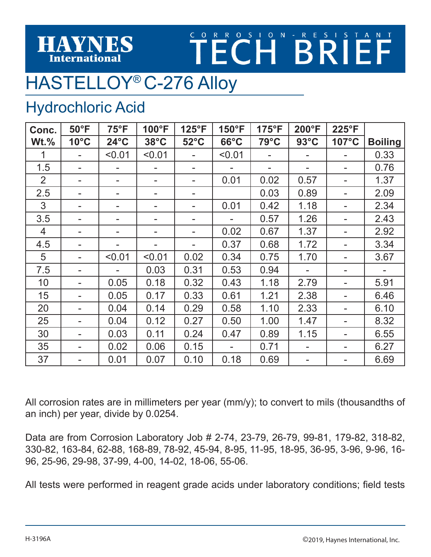#### HAYNES **International**

# **TECHBRITANT**

## HASTELLOY® C-276 Alloy

#### Hydrochloric Acid

| Conc.          | $50^{\circ}$ F | $75^{\circ}F$  | 100°F          | 125°F          | 150°F          | $175^{\circ}F$ | 200°F          | 225°F |                |
|----------------|----------------|----------------|----------------|----------------|----------------|----------------|----------------|-------|----------------|
| $Wt.\%$        | $10^{\circ}$ C | $24^{\circ}$ C | $38^{\circ}$ C | $52^{\circ}$ C | $66^{\circ}$ C | $79^{\circ}$ C | $93^{\circ}$ C | 107°C | <b>Boiling</b> |
| 1              |                | < 0.01         | < 0.01         |                | < 0.01         |                |                |       | 0.33           |
| 1.5            |                |                |                | -              |                |                |                |       | 0.76           |
| $\overline{2}$ |                |                |                |                | 0.01           | 0.02           | 0.57           |       | 1.37           |
| 2.5            |                |                |                |                |                | 0.03           | 0.89           |       | 2.09           |
| 3              |                |                |                |                | 0.01           | 0.42           | 1.18           |       | 2.34           |
| 3.5            |                |                |                |                |                | 0.57           | 1.26           |       | 2.43           |
| 4              |                |                |                |                | 0.02           | 0.67           | 1.37           |       | 2.92           |
| 4.5            |                |                |                |                | 0.37           | 0.68           | 1.72           |       | 3.34           |
| 5              |                | < 0.01         | < 0.01         | 0.02           | 0.34           | 0.75           | 1.70           |       | 3.67           |
| 7.5            |                |                | 0.03           | 0.31           | 0.53           | 0.94           |                |       |                |
| 10             |                | 0.05           | 0.18           | 0.32           | 0.43           | 1.18           | 2.79           |       | 5.91           |
| 15             |                | 0.05           | 0.17           | 0.33           | 0.61           | 1.21           | 2.38           |       | 6.46           |
| 20             |                | 0.04           | 0.14           | 0.29           | 0.58           | 1.10           | 2.33           |       | 6.10           |
| 25             |                | 0.04           | 0.12           | 0.27           | 0.50           | 1.00           | 1.47           |       | 8.32           |
| 30             |                | 0.03           | 0.11           | 0.24           | 0.47           | 0.89           | 1.15           |       | 6.55           |
| 35             |                | 0.02           | 0.06           | 0.15           |                | 0.71           |                |       | 6.27           |
| 37             |                | 0.01           | 0.07           | 0.10           | 0.18           | 0.69           |                |       | 6.69           |

All corrosion rates are in millimeters per year (mm/y); to convert to mils (thousandths of an inch) per year, divide by 0.0254.

Data are from Corrosion Laboratory Job # 2-74, 23-79, 26-79, 99-81, 179-82, 318-82, 330-82, 163-84, 62-88, 168-89, 78-92, 45-94, 8-95, 11-95, 18-95, 36-95, 3-96, 9-96, 16- 96, 25-96, 29-98, 37-99, 4-00, 14-02, 18-06, 55-06.

All tests were performed in reagent grade acids under laboratory conditions; field tests